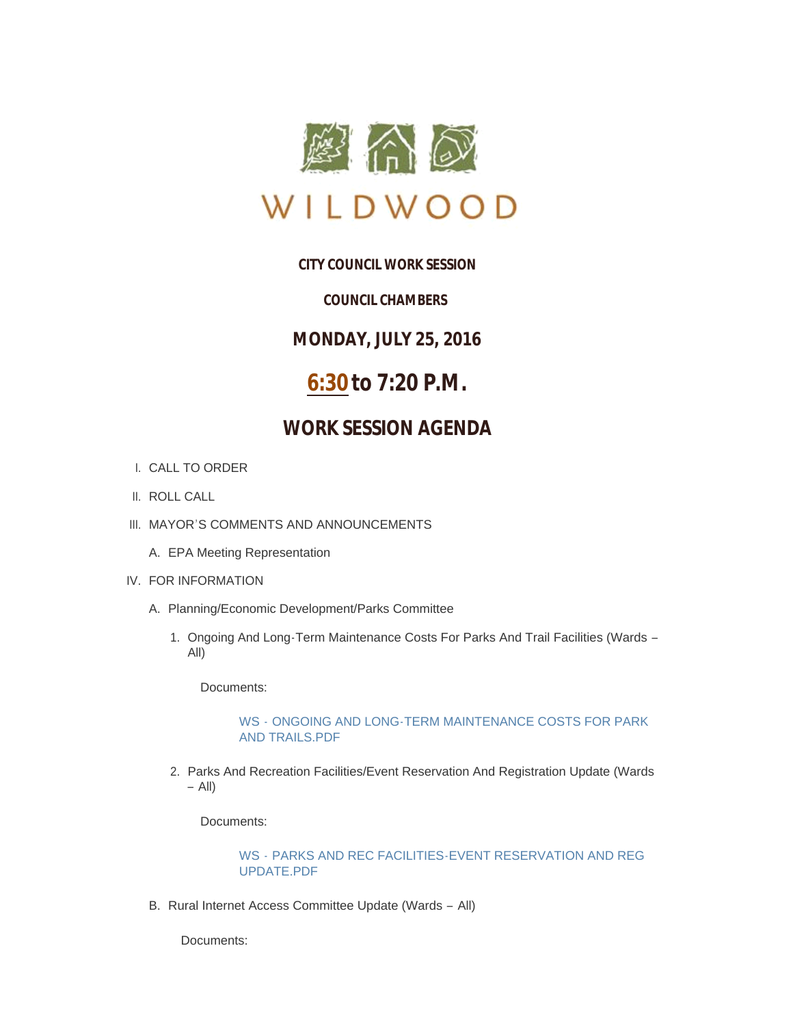

## **CITY COUNCIL WORK SESSION**

### *COUNCIL CHAMBERS*

**MONDAY, JULY 25, 2016**

# **6:30 to 7:20 P.M.**

## **WORK SESSION AGENDA**

- CALL TO ORDER I.
- II. ROLL CALL
- III. MAYOR'S COMMENTS AND ANNOUNCEMENTS
	- EPA Meeting Representation A.
- IV. FOR INFORMATION
	- A. Planning/Economic Development/Parks Committee
		- 1. Ongoing And Long-Term Maintenance Costs For Parks And Trail Facilities (Wards -All)

Documents:

#### WS - [ONGOING AND LONG-TERM MAINTENANCE COSTS FOR PARK](http://mo-wildwood.civicplus.com/AgendaCenter/ViewFile/Item/7649?fileID=11280)  AND TRAILS.PDF

2. Parks And Recreation Facilities/Event Reservation And Registration Update (Wards – All)

Documents:

#### WS - [PARKS AND REC FACILITIES-EVENT RESERVATION AND REG](http://mo-wildwood.civicplus.com/AgendaCenter/ViewFile/Item/7650?fileID=11281)  UPDATE.PDF

B. Rural Internet Access Committee Update (Wards - All)

Documents: